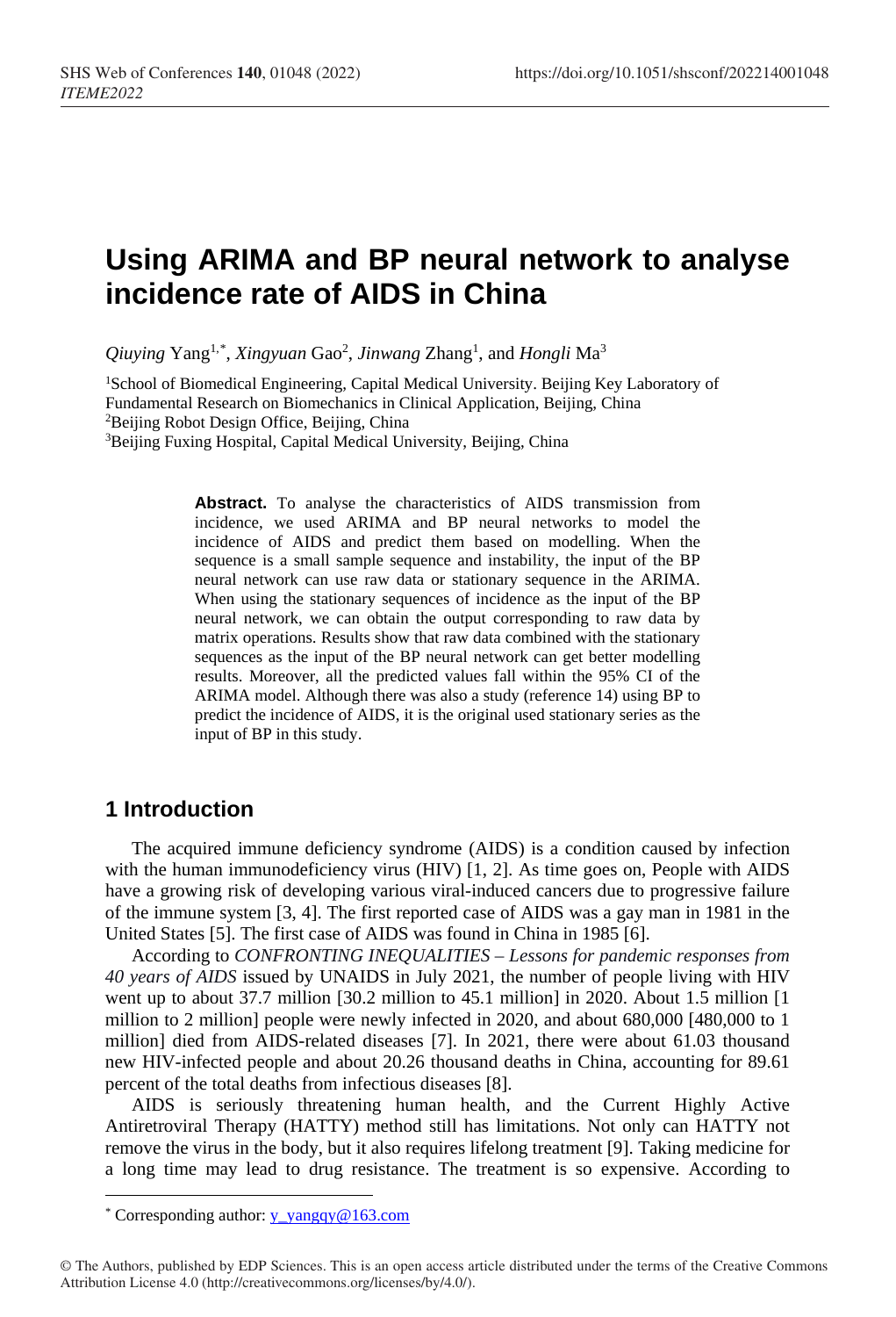# **Using ARIMA and BP neural network to analyse incidence rate of AIDS in China**

*Qiuying* Yang1,\* [,](#page-0-0) *Xingyuan* Gao2 , *Jinwang* Zhang1 , and *Hongli* Ma3

<sup>1</sup>School of Biomedical Engineering, Capital Medical University. Beijing Key Laboratory of Fundamental Research on Biomechanics in Clinical Application, Beijing, China 2Beijing Robot Design Office, Beijing, China

<sup>3</sup>Beijing Fuxing Hospital, Capital Medical University, Beijing, China

**Abstract.** To analyse the characteristics of AIDS transmission from incidence, we used ARIMA and BP neural networks to model the incidence of AIDS and predict them based on modelling. When the sequence is a small sample sequence and instability, the input of the BP neural network can use raw data or stationary sequence in the ARIMA. When using the stationary sequences of incidence as the input of the BP neural network, we can obtain the output corresponding to raw data by matrix operations. Results show that raw data combined with the stationary sequences as the input of the BP neural network can get better modelling results. Moreover, all the predicted values fall within the 95% CI of the ARIMA model. Although there was also a study (reference 14) using BP to predict the incidence of AIDS, it is the original used stationary series as the input of BP in this study.

## **1 Introduction**

 $\overline{a}$ 

The acquired immune deficiency syndrome (AIDS) is a condition caused by infection with the human immunodeficiency virus  $(HIV)$   $[1, 2]$ . As time goes on, People with AIDS have a growing risk of developing various viral-induced cancers due to progressive failure of the immune system [3, 4]. The first reported case of AIDS was a gay man in 1981 in the United States [5]. The first case of AIDS was found in China in 1985 [6].

According to *CONFRONTING INEQUALITIES – Lessons for pandemic responses from 40 years of AIDS* issued by UNAIDS in July 2021, the number of people living with HIV went up to about 37.7 million [30.2 million to 45.1 million] in 2020. About 1.5 million [1 million to 2 million] people were newly infected in 2020, and about 680,000 [480,000 to 1 million] died from AIDS-related diseases [7]. In 2021, there were about 61.03 thousand new HIV-infected people and about 20.26 thousand deaths in China, accounting for 89.61 percent of the total deaths from infectious diseases [8].

AIDS is seriously threatening human health, and the Current Highly Active Antiretroviral Therapy (HATTY) method still has limitations. Not only can HATTY not remove the virus in the body, but it also requires lifelong treatment [9]. Taking medicine for a long time may lead to drug resistance. The treatment is so expensive. According to

<sup>\*</sup> Corresponding author: y\_yangqy@163.com

<span id="page-0-0"></span><sup>©</sup> The Authors, published by EDP Sciences. This is an open access article distributed under the terms of the Creative Commons Attribution License 4.0 (http://creativecommons.org/licenses/by/4.0/).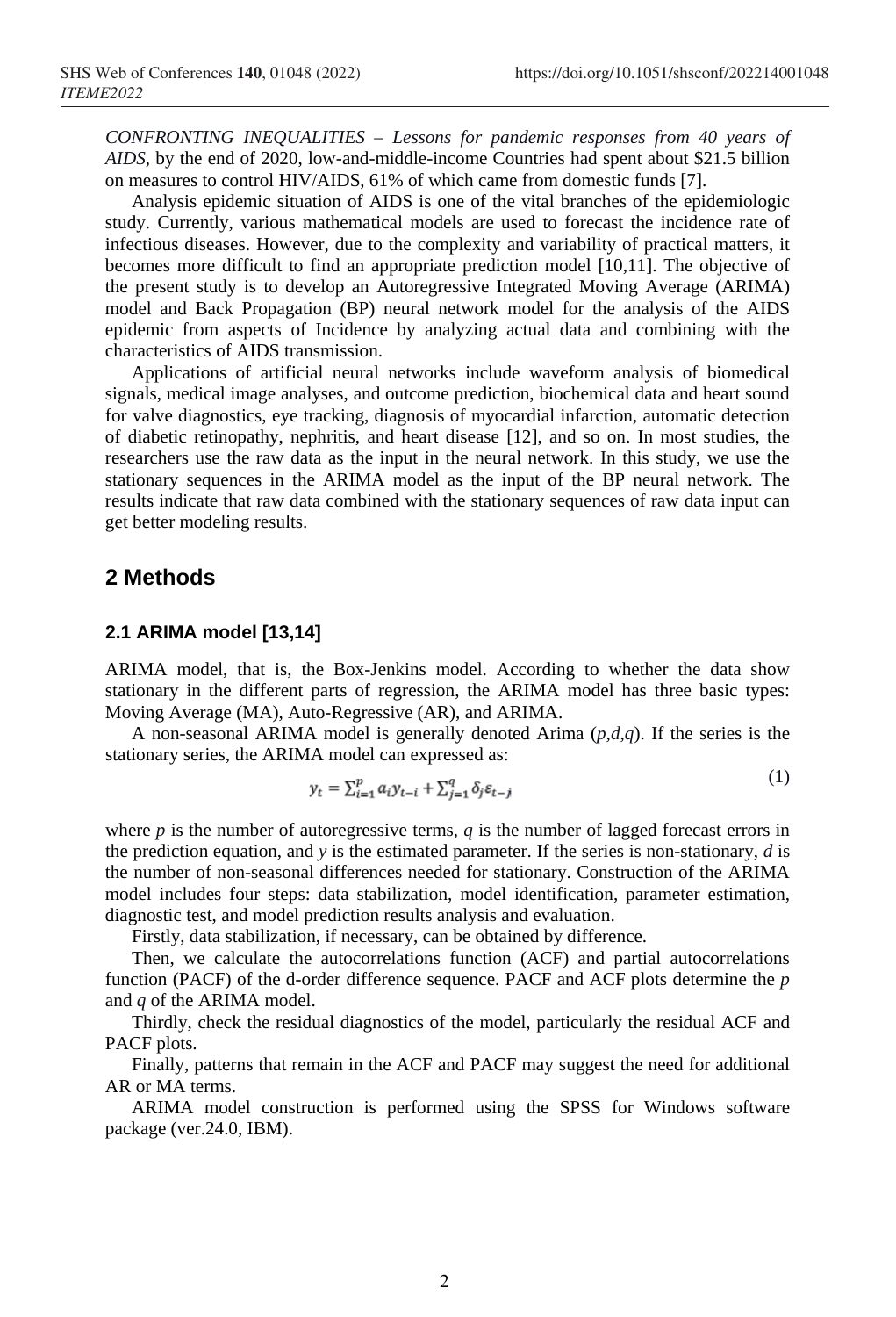*CONFRONTING INEQUALITIES – Lessons for pandemic responses from 40 years of AIDS*, by the end of 2020, low-and-middle-income Countries had spent about \$21.5 billion on measures to control HIV/AIDS, 61% of which came from domestic funds [7].

Analysis epidemic situation of AIDS is one of the vital branches of the epidemiologic study. Currently, various mathematical models are used to forecast the incidence rate of infectious diseases. However, due to the complexity and variability of practical matters, it becomes more difficult to find an appropriate prediction model [10,11]. The objective of the present study is to develop an Autoregressive Integrated Moving Average (ARIMA) model and Back Propagation (BP) neural network model for the analysis of the AIDS epidemic from aspects of Incidence by analyzing actual data and combining with the characteristics of AIDS transmission.

Applications of artificial neural networks include waveform analysis of biomedical signals, medical image analyses, and outcome prediction, biochemical data and heart sound for valve diagnostics, eye tracking, diagnosis of myocardial infarction, automatic detection of diabetic retinopathy, nephritis, and heart disease [12], and so on. In most studies, the researchers use the raw data as the input in the neural network. In this study, we use the stationary sequences in the ARIMA model as the input of the BP neural network. The results indicate that raw data combined with the stationary sequences of raw data input can get better modeling results.

# **2 Methods**

#### **2.1 ARIMA model [13,14]**

ARIMA model, that is, the Box-Jenkins model. According to whether the data show stationary in the different parts of regression, the ARIMA model has three basic types: Moving Average (MA), Auto-Regressive (AR), and ARIMA.

A non-seasonal ARIMA model is generally denoted Arima (*p*,*d*,*q*). If the series is the stationary series, the ARIMA model can expressed as:

$$
y_t = \sum_{i=1}^p a_i y_{t-i} + \sum_{j=1}^q \delta_j \varepsilon_{t-j}
$$
\n<sup>(1)</sup>

where *p* is the number of autoregressive terms, *q* is the number of lagged forecast errors in the prediction equation, and *y* is the estimated parameter. If the series is non-stationary, *d* is the number of non-seasonal differences needed for stationary. Construction of the ARIMA model includes four steps: data stabilization, model identification, parameter estimation, diagnostic test, and model prediction results analysis and evaluation.

Firstly, data stabilization, if necessary, can be obtained by difference.

Then, we calculate the autocorrelations function (ACF) and partial autocorrelations function (PACF) of the d-order difference sequence. PACF and ACF plots determine the *p* and *q* of the ARIMA model.

Thirdly, check the residual diagnostics of the model, particularly the residual ACF and PACF plots.

Finally, patterns that remain in the ACF and PACF may suggest the need for additional AR or MA terms.

ARIMA model construction is performed using the SPSS for Windows software package (ver.24.0, IBM).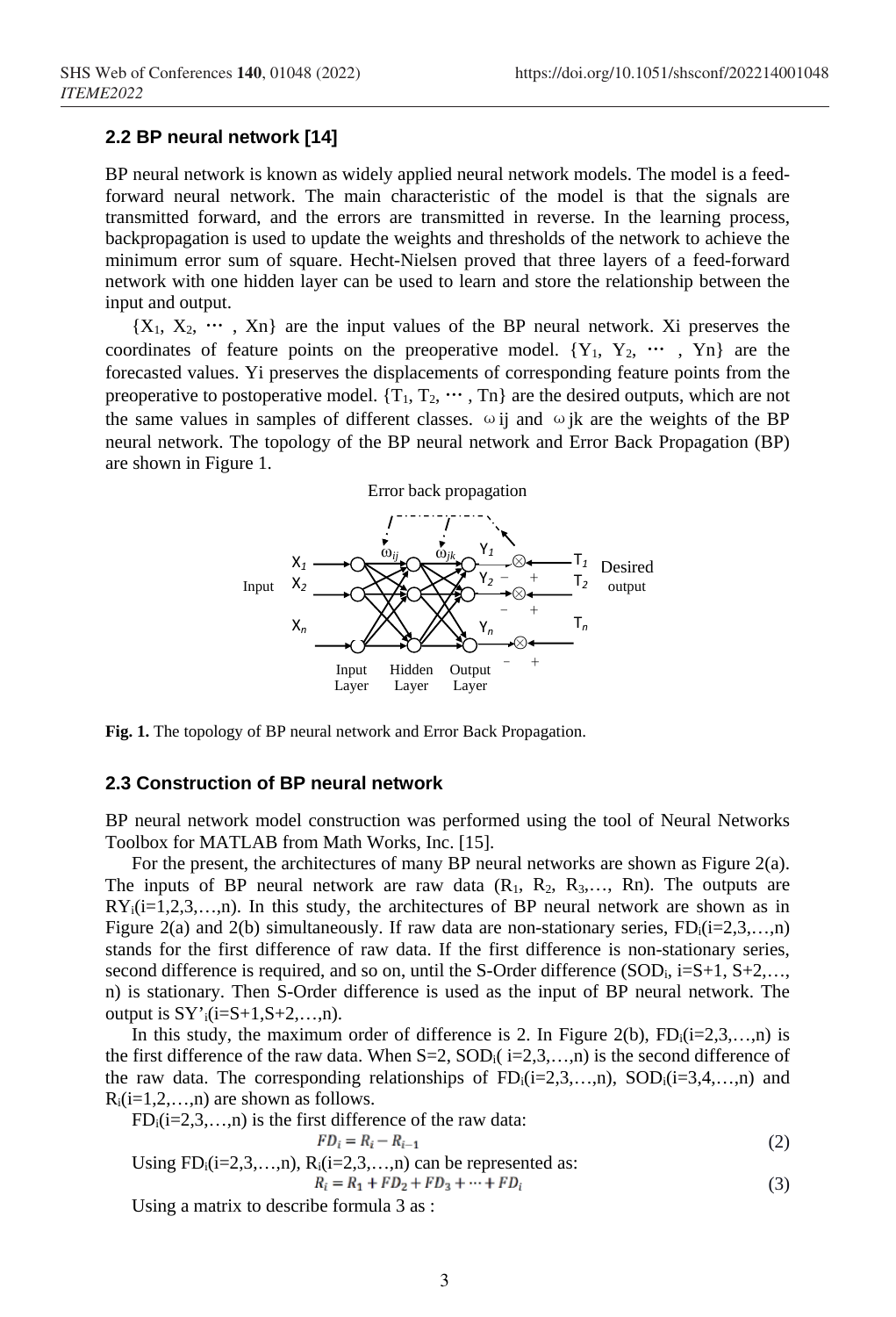#### **2.2 BP neural network [14]**

BP neural network is known as widely applied neural network models. The model is a feedforward neural network. The main characteristic of the model is that the signals are transmitted forward, and the errors are transmitted in reverse. In the learning process, backpropagation is used to update the weights and thresholds of the network to achieve the minimum error sum of square. Hecht-Nielsen proved that three layers of a feed-forward network with one hidden layer can be used to learn and store the relationship between the input and output.

 ${X_1, X_2, \cdots, X_n}$  are the input values of the BP neural network. Xi preserves the coordinates of feature points on the preoperative model.  ${Y_1, Y_2, \cdots, Y_n}$  are the forecasted values. Yi preserves the displacements of corresponding feature points from the preoperative to postoperative model.  $\{T_1, T_2, \dots, T_n\}$  are the desired outputs, which are not the same values in samples of different classes.  $\omega$  ij and  $\omega$  jk are the weights of the BP neural network. The topology of the BP neural network and Error Back Propagation (BP) are shown in Figure 1.



**Fig. 1.** The topology of BP neural network and Error Back Propagation.

### **2.3 Construction of BP neural network**

BP neural network model construction was performed using the tool of Neural Networks Toolbox for MATLAB from Math Works, Inc. [15].

For the present, the architectures of many BP neural networks are shown as Figure 2(a). The inputs of BP neural network are raw data  $(R_1, R_2, R_3, \ldots, R_n)$ . The outputs are  $RY_i(i=1,2,3,...,n)$ . In this study, the architectures of BP neural network are shown as in Figure 2(a) and 2(b) simultaneously. If raw data are non-stationary series,  $FD_i(i=2,3,...,n)$ stands for the first difference of raw data. If the first difference is non-stationary series, second difference is required, and so on, until the S-Order difference (SOD<sub>i</sub>, i=S+1, S+2,... n) is stationary. Then S-Order difference is used as the input of BP neural network. The output is  $SY'_{i}(i=S+1,S+2,...,n)$ .

In this study, the maximum order of difference is 2. In Figure 2(b),  $FD_i(i=2,3,...,n)$  is the first difference of the raw data. When  $S=2$ ,  $SOD_i(i=2,3,...,n)$  is the second difference of the raw data. The corresponding relationships of  $FD_i(i=2,3,...,n)$ ,  $SOD_i(i=3,4,...,n)$  and  $R_i(i=1,2,...,n)$  are shown as follows.

$$
FD_i(i=2,3,...,n)
$$
 is the first difference of the raw data:

$$
FD_{i} = R_{i} - R_{i-1}
$$
\n(2)  
\nUsing FD<sub>i</sub>(i=2,3,...,n), R<sub>i</sub>(i=2,3,...,n) can be represented as:  
\n
$$
R_{i} = R_{1} + FD_{2} + FD_{3} + \dots + FD_{i}
$$
\n(3)

Using a matrix to describe formula 3 as :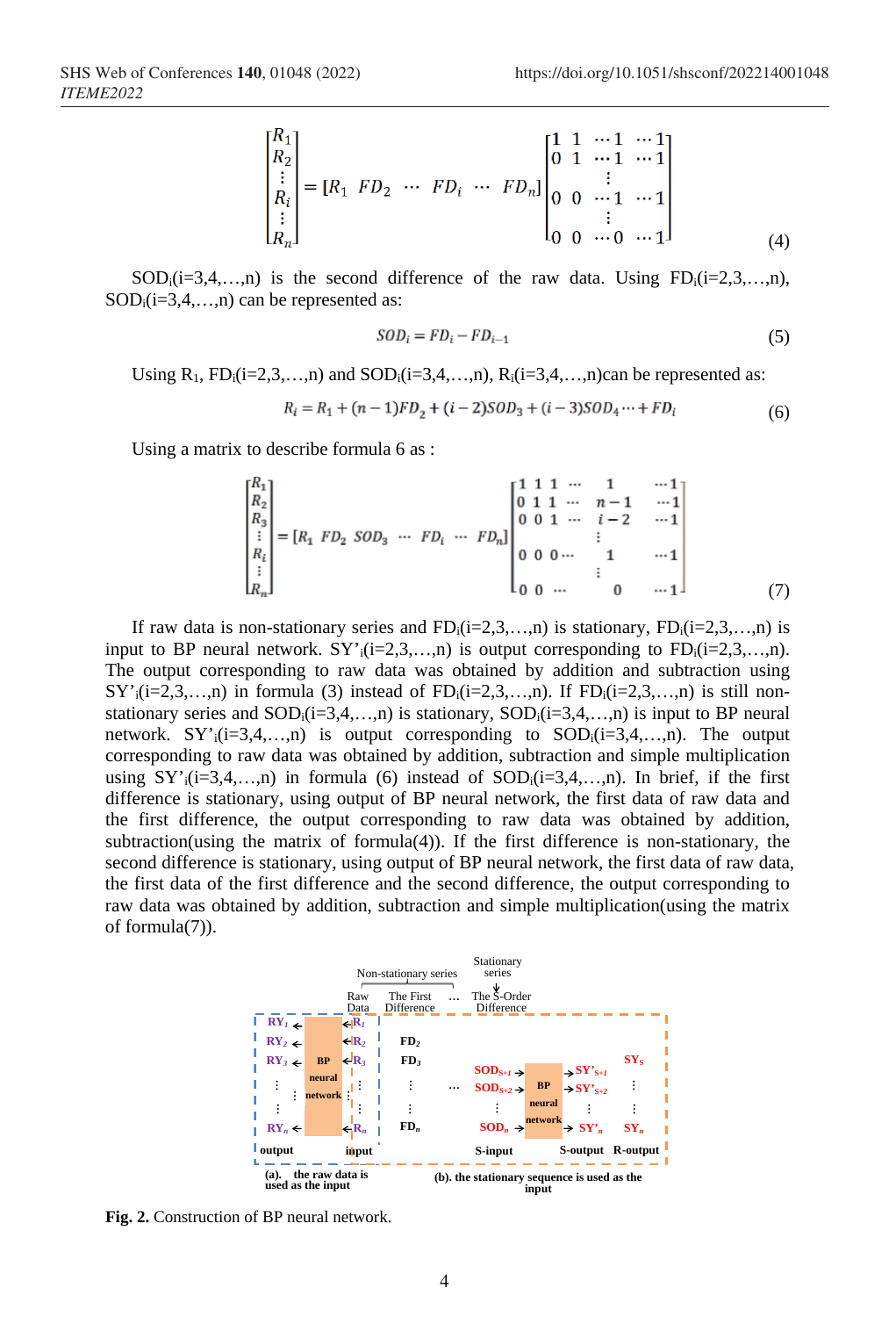$$
\begin{bmatrix} R_1 \\ R_2 \\ \vdots \\ R_i \\ \vdots \\ R_n \end{bmatrix} = [R_1 \ FD_2 \ \cdots \ FD_i \ \cdots \ FD_n] \begin{bmatrix} 1 & 1 & \cdots 1 & \cdots 1 \\ 0 & 1 & \cdots 1 & \cdots 1 \\ \vdots & & & \vdots \\ 0 & 0 & \cdots 1 & \cdots 1 \\ 0 & 0 & \cdots 0 & \cdots 1 \end{bmatrix}
$$
 (4)

 $SOD_i(i=3,4,...,n)$  is the second difference of the raw data. Using  $FD_i(i=2,3,...,n)$ ,  $SOD_i(i=3,4,...,n)$  can be represented as:

$$
SOD_i = FD_i - FD_{i-1} \tag{5}
$$

Using  $R_1$ ,  $FD_i(i=2,3,...,n)$  and  $SOD_i(i=3,4,...,n)$ ,  $R_i(i=3,4,...,n)$ can be represented as:

$$
R_i = R_1 + (n-1)FD_2 + (i-2)SOD_3 + (i-3)SOD_4 \cdots + FD_i
$$
\n(6)

Using a matrix to describe formula 6 as :

$$
\begin{bmatrix} R_1 \\ R_2 \\ R_3 \\ \vdots \\ R_i \\ R_n \end{bmatrix} = [R_1 \ FD_2 \ SOD_3 \ \cdots \ FD_i \ \cdots \ FD_n] \begin{bmatrix} 1 & 1 & 1 & \cdots & 1 & \cdots 1 \\ 0 & 1 & 1 & \cdots & 1 & \cdots 1 \\ 0 & 0 & 1 & \cdots & i-2 & \cdots 1 \\ \vdots & \vdots & \vdots & \vdots & \vdots & \vdots \\ 0 & 0 & 0 & \cdots & 1 & \cdots 1 \\ 0 & 0 & \cdots & 0 & \cdots 1 \end{bmatrix}
$$
(7)

If raw data is non-stationary series and  $FD_i(i=2,3,...,n)$  is stationary,  $FD_i(i=2,3,...,n)$  is input to BP neural network.  $SY'_{i}(i=2,3,...,n)$  is output corresponding to  $FD_{i}(i=2,3,...,n)$ . The output corresponding to raw data was obtained by addition and subtraction using  $SY'_{i}(i=2,3,...,n)$  in formula (3) instead of  $FD_{i}(i=2,3,...,n)$ . If  $FD_{i}(i=2,3,...,n)$  is still nonstationary series and  $SOD_i(i=3,4,...,n)$  is stationary,  $SOD_i(i=3,4,...,n)$  is input to BP neural network.  $SY'_{i}(i=3,4,...,n)$  is output corresponding to  $SOD_{i}(i=3,4,...,n)$ . The output corresponding to raw data was obtained by addition, subtraction and simple multiplication using  $SY'_{i}(i=3,4,...,n)$  in formula (6) instead of  $SOD_{i}(i=3,4,...,n)$ . In brief, if the first difference is stationary, using output of BP neural network, the first data of raw data and the first difference, the output corresponding to raw data was obtained by addition, subtraction(using the matrix of formula(4)). If the first difference is non-stationary, the second difference is stationary, using output of BP neural network, the first data of raw data, the first data of the first difference and the second difference, the output corresponding to raw data was obtained by addition, subtraction and simple multiplication(using the matrix of formula(7)).



**Fig. 2.** Construction of BP neural network.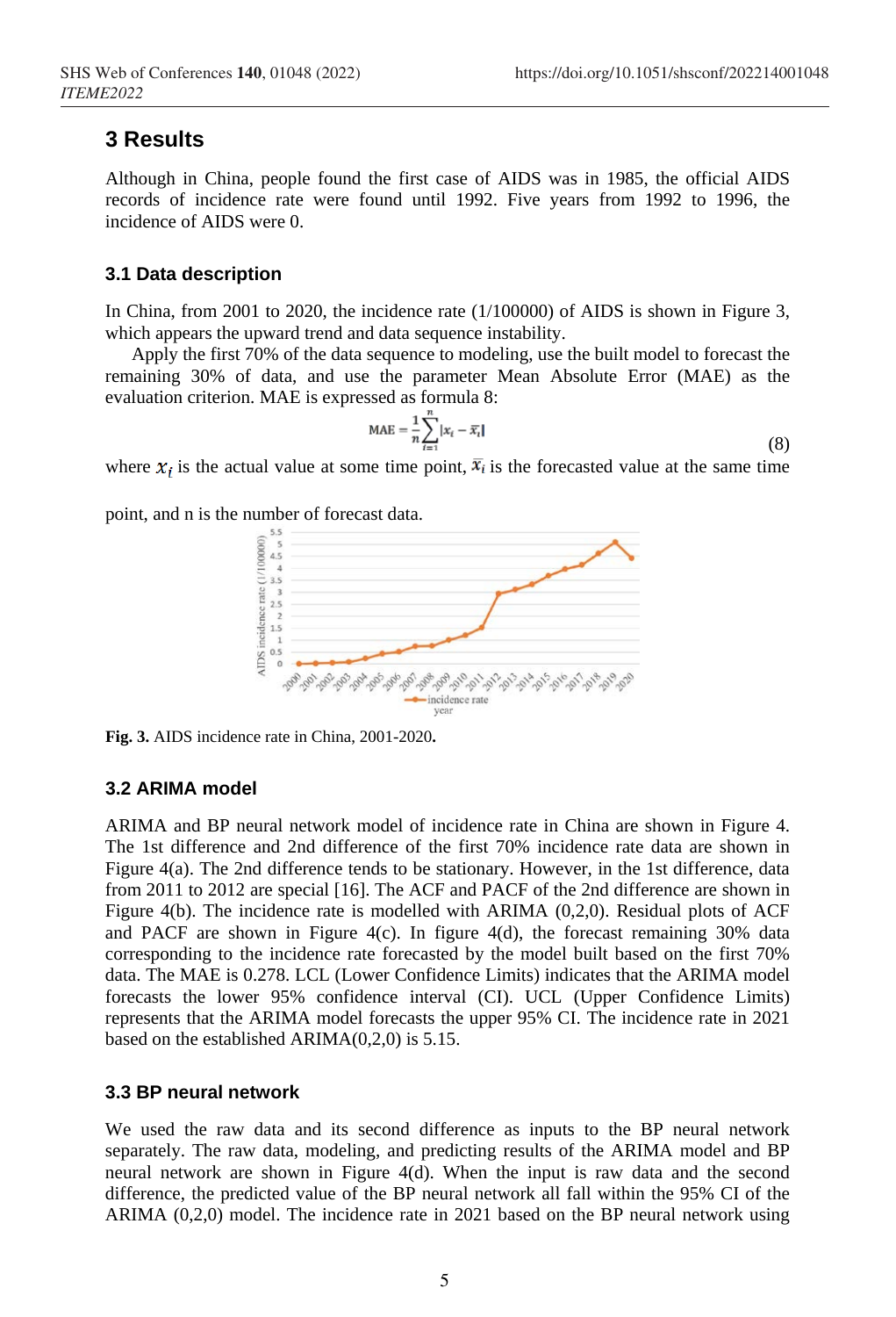# **3 Results**

Although in China, people found the first case of AIDS was in 1985, the official AIDS records of incidence rate were found until 1992. Five years from 1992 to 1996, the incidence of AIDS were 0.

#### **3.1 Data description**

In China, from 2001 to 2020, the incidence rate  $(1/100000)$  of AIDS is shown in Figure 3, which appears the upward trend and data sequence instability.

Apply the first 70% of the data sequence to modeling, use the built model to forecast the remaining 30% of data, and use the parameter Mean Absolute Error (MAE) as the evaluation criterion. MAE is expressed as formula 8:

$$
MAE = \frac{1}{n} \sum_{t=1}^{n} |x_t - \overline{x}_t|
$$
\n(8)

where  $x_i$  is the actual value at some time point,  $\overline{x_i}$  is the forecasted value at the same time

point, and n is the number of forecast data.



**Fig. 3.** AIDS incidence rate in China, 2001-2020**.**

#### **3.2 ARIMA model**

ARIMA and BP neural network model of incidence rate in China are shown in Figure 4. The 1st difference and 2nd difference of the first 70% incidence rate data are shown in Figure 4(a). The 2nd difference tends to be stationary. However, in the 1st difference, data from 2011 to 2012 are special [16]. The ACF and PACF of the 2nd difference are shown in Figure 4(b). The incidence rate is modelled with ARIMA (0,2,0). Residual plots of ACF and PACF are shown in Figure  $4(c)$ . In figure  $4(d)$ , the forecast remaining 30% data corresponding to the incidence rate forecasted by the model built based on the first 70% data. The MAE is 0.278. LCL (Lower Confidence Limits) indicates that the ARIMA model forecasts the lower 95% confidence interval (CI). UCL (Upper Confidence Limits) represents that the ARIMA model forecasts the upper 95% CI. The incidence rate in 2021 based on the established ARIMA(0,2,0) is 5.15.

#### **3.3 BP neural network**

We used the raw data and its second difference as inputs to the BP neural network separately. The raw data, modeling, and predicting results of the ARIMA model and BP neural network are shown in Figure 4(d). When the input is raw data and the second difference, the predicted value of the BP neural network all fall within the 95% CI of the ARIMA (0,2,0) model. The incidence rate in 2021 based on the BP neural network using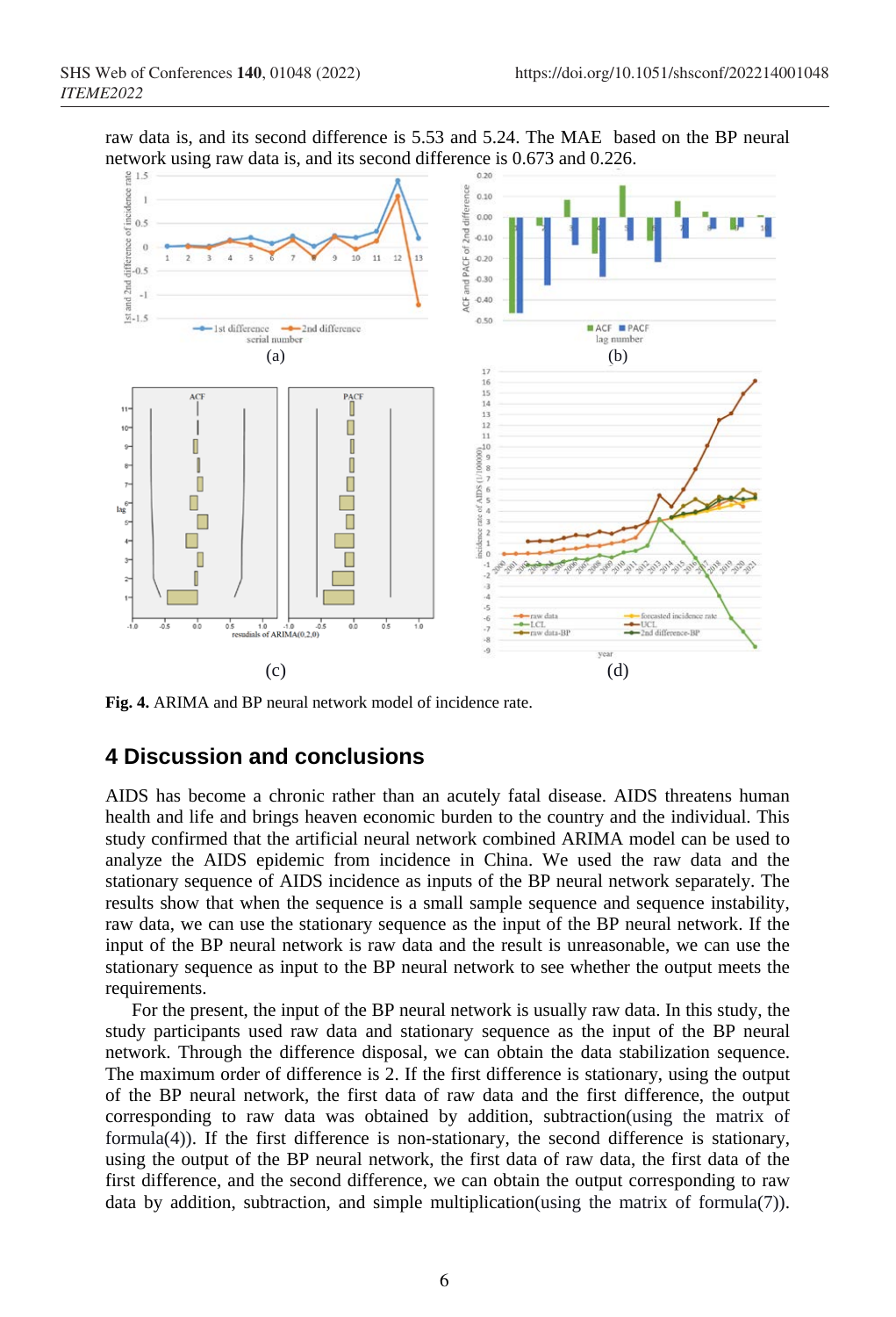raw data is, and its second difference is 5.53 and 5.24. The MAE based on the BP neural network using raw data is, and its second difference is 0.673 and 0.226.



**Fig. 4.** ARIMA and BP neural network model of incidence rate.

# **4 Discussion and conclusions**

AIDS has become a chronic rather than an acutely fatal disease. AIDS threatens human health and life and brings heaven economic burden to the country and the individual. This study confirmed that the artificial neural network combined ARIMA model can be used to analyze the AIDS epidemic from incidence in China. We used the raw data and the stationary sequence of AIDS incidence as inputs of the BP neural network separately. The results show that when the sequence is a small sample sequence and sequence instability, raw data, we can use the stationary sequence as the input of the BP neural network. If the input of the BP neural network is raw data and the result is unreasonable, we can use the stationary sequence as input to the BP neural network to see whether the output meets the requirements.

For the present, the input of the BP neural network is usually raw data. In this study, the study participants used raw data and stationary sequence as the input of the BP neural network. Through the difference disposal, we can obtain the data stabilization sequence. The maximum order of difference is 2. If the first difference is stationary, using the output of the BP neural network, the first data of raw data and the first difference, the output corresponding to raw data was obtained by addition, subtraction(using the matrix of formula(4)). If the first difference is non-stationary, the second difference is stationary, using the output of the BP neural network, the first data of raw data, the first data of the first difference, and the second difference, we can obtain the output corresponding to raw data by addition, subtraction, and simple multiplication(using the matrix of formula(7)).